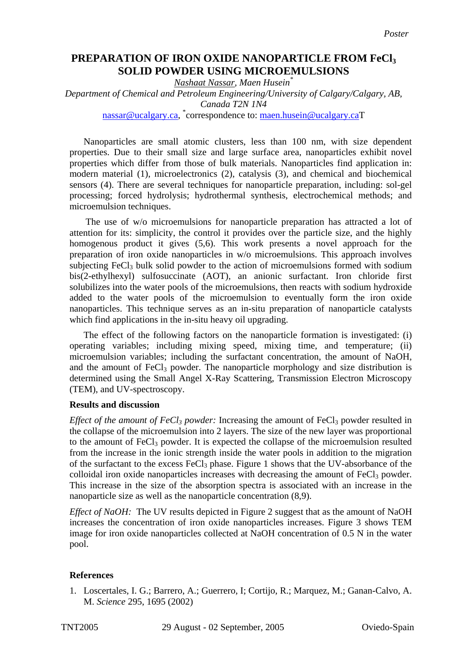## **PREPARATION OF IRON OXIDE NANOPARTICLE FROM FeCl3 SOLID POWDER USING MICROEMULSIONS**

*Nashaat Nassar, Maen Husein\**

*Department of Chemical and Petroleum Engineering/University of Calgary/Calgary, AB, Canada T2N 1N4* 

[nassar@ucalgary.ca,](mailto:nassar@ucalgary.ca) <sup>\*</sup>correspondence to: <u>maen.husein@ucalgary.ca</u>T

Nanoparticles are small atomic clusters, less than 100 nm, with size dependent properties. Due to their small size and large surface area, nanoparticles exhibit novel properties which differ from those of bulk materials. Nanoparticles find application in: modern material [\(1\)](#page-0-0), microelectronics [\(2\)](#page-1-0), catalysis [\(3\)](#page-1-1), and chemical and biochemical sensors [\(4\)](#page-1-2). There are several techniques for nanoparticle preparation, including: sol-gel processing; forced hydrolysis; hydrothermal synthesis, electrochemical methods; and microemulsion techniques.

The use of w/o microemulsions for nanoparticle preparation has attracted a lot of attention for its: simplicity, the control it provides over the particle size, and the highly homogenous product it gives [\(5,](#page-1-3)[6\)](#page-1-4). This work presents a novel approach for the preparation of iron oxide nanoparticles in w/o microemulsions. This approach involves subjecting FeCl<sub>3</sub> bulk solid powder to the action of microemulsions formed with sodium bis(2-ethylhexyl) sulfosuccinate (AOT), an anionic surfactant. Iron chloride first solubilizes into the water pools of the microemulsions, then reacts with sodium hydroxide added to the water pools of the microemulsion to eventually form the iron oxide nanoparticles. This technique serves as an in-situ preparation of nanoparticle catalysts which find applications in the in-situ heavy oil upgrading.

The effect of the following factors on the nanoparticle formation is investigated: (i) operating variables; including mixing speed, mixing time, and temperature; (ii) microemulsion variables; including the surfactant concentration, the amount of NaOH, and the amount of  $FeCl<sub>3</sub>$  powder. The nanoparticle morphology and size distribution is determined using the Small Angel X-Ray Scattering, Transmission Electron Microscopy (TEM), and UV-spectroscopy.

## **Results and discussion**

*Effect of the amount of FeCl<sub>3</sub> powder:* Increasing the amount of FeCl<sub>3</sub> powder resulted in the collapse of the microemulsion into 2 layers. The size of the new layer was proportional to the amount of  $FeCl<sub>3</sub>$  powder. It is expected the collapse of the microemulsion resulted from the increase in the ionic strength inside the water pools in addition to the migration of the surfactant to the excess FeCl<sub>3</sub> phase. Figure 1 shows that the UV-absorbance of the colloidal iron oxide nanoparticles increases with decreasing the amount of FeCl<sub>3</sub> powder. This increase in the size of the absorption spectra is associated with an increase in the nanoparticle size as well as the nanoparticle concentration [\(8](#page-1-5)[,9\)](#page-1-6).

*Effect of NaOH:* The UV results depicted in Figure 2 suggest that as the amount of NaOH increases the concentration of iron oxide nanoparticles increases. Figure 3 shows TEM image for iron oxide nanoparticles collected at NaOH concentration of 0.5 N in the water pool.

## **References**

<span id="page-0-0"></span>1. Loscertales, I. G.; Barrero, A.; Guerrero, I; Cortijo, R.; Marquez, M.; Ganan-Calvo, A. M. *Science* 295, 1695 (2002)